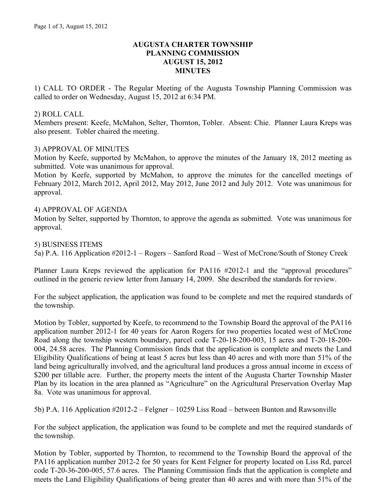## **AUGUSTA CHARTER TOWNSHIP PLANNING COMMISSION AUGUST 15, 2012 MINUTES**

1) CALL TO ORDER - The Regular Meeting of the Augusta Township Planning Commission was called to order on Wednesday, August 15, 2012 at 6:34 PM.

### 2) ROLL CALL

Members present: Keefe, McMahon, Selter, Thornton, Tobler. Absent: Chie. Planner Laura Kreps was also present. Tobler chaired the meeting.

## 3) APPROVAL OF MINUTES

Motion by Keefe, supported by McMahon, to approve the minutes of the January 18, 2012 meeting as submitted. Vote was unanimous for approval.

Motion by Keefe, supported by McMahon, to approve the minutes for the cancelled meetings of February 2012, March 2012, April 2012, May 2012, June 2012 and July 2012. Vote was unanimous for approval.

## 4) APPROVAL OF AGENDA

Motion by Selter, supported by Thornton, to approve the agenda as submitted. Vote was unanimous for approval.

#### 5) BUSINESS ITEMS

5a) P.A. 116 Application #2012-1 – Rogers – Sanford Road – West of McCrone/South of Stoney Creek

Planner Laura Kreps reviewed the application for PA116 #2012-1 and the "approval procedures" outlined in the generic review letter from January 14, 2009. She described the standards for review.

For the subject application, the application was found to be complete and met the required standards of the township.

Motion by Tobler, supported by Keefe, to recommend to the Township Board the approval of the PA116 application number 2012-1 for 40 years for Aaron Rogers for two properties located west of McCrone Road along the township western boundary, parcel code T-20-18-200-003, 15 acres and T-20-18-200- 004, 24.58 acres. The Planning Commission finds that the application is complete and meets the Land Eligibility Qualifications of being at least 5 acres but less than 40 acres and with more than 51% of the land being agriculturally involved, and the agricultural land produces a gross annual income in excess of \$200 per tillable acre. Further, the property meets the intent of the Augusta Charter Township Master Plan by its location in the area planned as "Agriculture" on the Agricultural Preservation Overlay Map 8a. Vote was unanimous for approval.

5b) P.A. 116 Application #2012-2 – Felgner – 10259 Liss Road – between Bunton and Rawsonville

For the subject application, the application was found to be complete and met the required standards of the township.

Motion by Tobler, supported by Thornton, to recommend to the Township Board the approval of the PA116 application number 2012-2 for 50 years for Kent Felgner for property located on Liss Rd, parcel code T-20-36-200-005, 57.6 acres. The Planning Commission finds that the application is complete and meets the Land Eligibility Qualifications of being greater than 40 acres and with more than 51% of the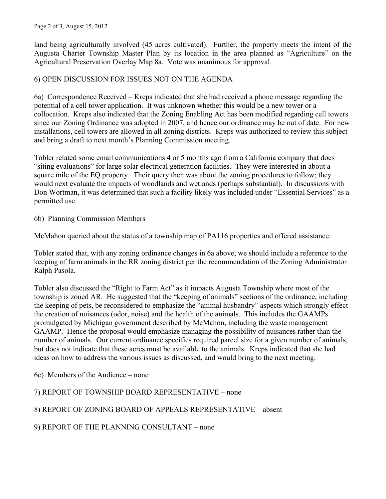#### Page 2 of 3, August 15, 2012

land being agriculturally involved (45 acres cultivated). Further, the property meets the intent of the Augusta Charter Township Master Plan by its location in the area planned as "Agriculture" on the Agricultural Preservation Overlay Map 8a. Vote was unanimous for approval.

## 6) OPEN DISCUSSION FOR ISSUES NOT ON THE AGENDA

6a) Correspondence Received – Kreps indicated that she had received a phone message regarding the potential of a cell tower application. It was unknown whether this would be a new tower or a collocation. Kreps also indicated that the Zoning Enabling Act has been modified regarding cell towers since our Zoning Ordinance was adopted in 2007, and hence our ordinance may be out of date. For new installations, cell towers are allowed in all zoning districts. Kreps was authorized to review this subject and bring a draft to next month's Planning Commission meeting.

Tobler related some email communications 4 or 5 months ago from a California company that does "siting evaluations" for large solar electrical generation facilities. They were interested in about a square mile of the EQ property. Their query then was about the zoning procedures to follow; they would next evaluate the impacts of woodlands and wetlands (perhaps substantial). In discussions with Don Wortman, it was determined that such a facility likely was included under "Essential Services" as a permitted use.

6b) Planning Commission Members

McMahon queried about the status of a township map of PA116 properties and offered assistance.

Tobler stated that, with any zoning ordinance changes in 6a above, we should include a reference to the keeping of farm animals in the RR zoning district per the recommendation of the Zoning Administrator Ralph Pasola.

Tobler also discussed the "Right to Farm Act" as it impacts Augusta Township where most of the township is zoned AR. He suggested that the "keeping of animals" sections of the ordinance, including the keeping of pets, be reconsidered to emphasize the "animal husbandry" aspects which strongly effect the creation of nuisances (odor, noise) and the health of the animals. This includes the GAAMPs promulgated by Michigan government described by McMahon, including the waste management GAAMP. Hence the proposal would emphasize managing the possibility of nuisances rather than the number of animals. Our current ordinance specifies required parcel size for a given number of animals, but does not indicate that these acres must be available to the animals. Kreps indicated that she had ideas on how to address the various issues as discussed, and would bring to the next meeting.

6c) Members of the Audience – none

# 7) REPORT OF TOWNSHIP BOARD REPRESENTATIVE – none

# 8) REPORT OF ZONING BOARD OF APPEALS REPRESENTATIVE – absent

9) REPORT OF THE PLANNING CONSULTANT – none